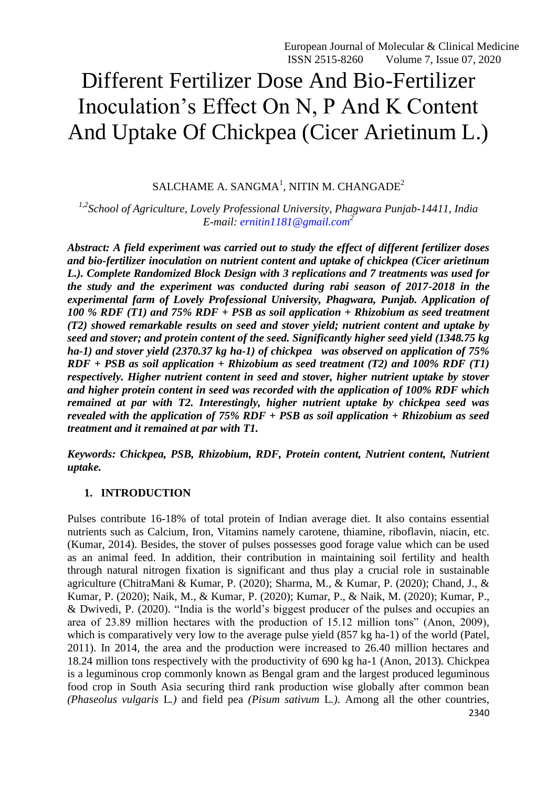# Different Fertilizer Dose And Bio-Fertilizer Inoculation"s Effect On N, P And K Content And Uptake Of Chickpea (Cicer Arietinum L.)

SALCHAME A. SANGMA $^1$ , NITIN M. CHANGADE $^2$ 

*1,2School of Agriculture, Lovely Professional University, Phagwara Punjab-14411, India E-mail: [ernitin1181@gmail.com](mailto:ernitin1181@gmail.com)<sup>2</sup>*

*Abstract: A field experiment was carried out to study the effect of different fertilizer doses and bio-fertilizer inoculation on nutrient content and uptake of chickpea (Cicer arietinum L.). Complete Randomized Block Design with 3 replications and 7 treatments was used for the study and the experiment was conducted during rabi season of 2017-2018 in the experimental farm of Lovely Professional University, Phagwara, Punjab. Application of 100 % RDF (T1) and 75% RDF + PSB as soil application + Rhizobium as seed treatment (T2) showed remarkable results on seed and stover yield; nutrient content and uptake by seed and stover; and protein content of the seed. Significantly higher seed yield (1348.75 kg ha-1) and stover yield (2370.37 kg ha-1) of chickpea was observed on application of 75% RDF + PSB as soil application + Rhizobium as seed treatment (T2) and 100% RDF (T1) respectively. Higher nutrient content in seed and stover, higher nutrient uptake by stover and higher protein content in seed was recorded with the application of 100% RDF which remained at par with T2. Interestingly, higher nutrient uptake by chickpea seed was revealed with the application of 75% RDF + PSB as soil application + Rhizobium as seed treatment and it remained at par with T1.* 

*Keywords: Chickpea, PSB, Rhizobium, RDF, Protein content, Nutrient content, Nutrient uptake.* 

#### **1. INTRODUCTION**

2340 Pulses contribute 16-18% of total protein of Indian average diet. It also contains essential nutrients such as Calcium, Iron, Vitamins namely carotene, thiamine, riboflavin, niacin, etc*.*  (Kumar, 2014). Besides, the stover of pulses possesses good forage value which can be used as an animal feed. In addition, their contribution in maintaining soil fertility and health through natural nitrogen fixation is significant and thus play a crucial role in sustainable agriculture (ChitraMani & Kumar, P. (2020); Sharma, M., & Kumar, P. (2020); Chand, J., & Kumar, P. (2020); Naik, M., & Kumar, P. (2020); Kumar, P., & Naik, M. (2020); Kumar, P., & Dwivedi, P. (2020). "India is the world"s biggest producer of the pulses and occupies an area of 23.89 million hectares with the production of 15.12 million tons" (Anon, 2009)*,*  which is comparatively very low to the average pulse yield (857 kg ha-1) of the world (Patel*,*  2011). In 2014, the area and the production were increased to 26.40 million hectares and 18.24 million tons respectively with the productivity of 690 kg ha-1 (Anon, 2013)*.* Chickpea is a leguminous crop commonly known as Bengal gram and the largest produced leguminous food crop in South Asia securing third rank production wise globally after common bean *(Phaseolus vulgaris* L*.)* and field pea *(Pisum sativum* L*.).* Among all the other countries,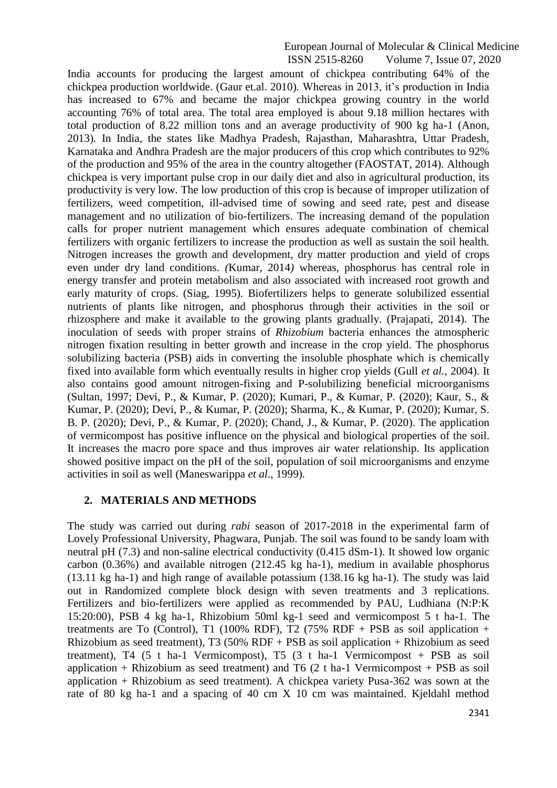India accounts for producing the largest amount of chickpea contributing 64% of the chickpea production worldwide. (Gaur et.al. 2010). Whereas in 2013, it's production in India has increased to 67% and became the major chickpea growing country in the world accounting 76% of total area. The total area employed is about 9.18 million hectares with total production of 8.22 million tons and an average productivity of 900 kg ha-1 (Anon, 2013)*.* In India, the states like Madhya Pradesh, Rajasthan, Maharashtra, Uttar Pradesh, Karnataka and Andhra Pradesh are the major producers of this crop which contributes to 92% of the production and 95% of the area in the country altogether (FAOSTAT, 2014). Although chickpea is very important pulse crop in our daily diet and also in agricultural production, its productivity is very low. The low production of this crop is because of improper utilization of fertilizers, weed competition, ill-advised time of sowing and seed rate, pest and disease management and no utilization of bio-fertilizers. The increasing demand of the population calls for proper nutrient management which ensures adequate combination of chemical fertilizers with organic fertilizers to increase the production as well as sustain the soil health. Nitrogen increases the growth and development, dry matter production and yield of crops even under dry land conditions. *(*Kumar, 2014*)* whereas, phosphorus has central role in energy transfer and protein metabolism and also associated with increased root growth and early maturity of crops. (Siag, 1995). Biofertilizers helps to generate solubilized essential nutrients of plants like nitrogen, and phosphorus through their activities in the soil or rhizosphere and make it available to the growing plants gradually. (Prajapati, 2014)*.* The inoculation of seeds with proper strains of *Rhizobium* bacteria enhances the atmospheric nitrogen fixation resulting in better growth and increase in the crop yield. The phosphorus solubilizing bacteria (PSB) aids in converting the insoluble phosphate which is chemically fixed into available form which eventually results in higher crop yields (Gull *et al.*, 2004). It also contains good amount nitrogen-fixing and P-solubilizing beneficial microorganisms (Sultan, 1997; Devi, P., & Kumar, P. (2020); Kumari, P., & Kumar, P. (2020); Kaur, S., & Kumar, P. (2020); Devi, P., & Kumar, P. (2020); Sharma, K., & Kumar, P. (2020); Kumar, S. B. P. (2020); Devi, P., & Kumar, P. (2020); Chand, J., & Kumar, P. (2020). The application of vermicompost has positive influence on the physical and biological properties of the soil. It increases the macro pore space and thus improves air water relationship. Its application showed positive impact on the pH of the soil, population of soil microorganisms and enzyme activities in soil as well (Maneswarippa *et al*., 1999)*.*

#### **2. MATERIALS AND METHODS**

The study was carried out during *rabi* season of 2017-2018 in the experimental farm of Lovely Professional University, Phagwara, Punjab. The soil was found to be sandy loam with neutral pH (7.3) and non-saline electrical conductivity (0.415 dSm-1). It showed low organic carbon (0.36%) and available nitrogen (212.45 kg ha-1), medium in available phosphorus (13.11 kg ha-1) and high range of available potassium (138.16 kg ha-1). The study was laid out in Randomized complete block design with seven treatments and 3 replications. Fertilizers and bio-fertilizers were applied as recommended by PAU, Ludhiana (N:P:K 15:20:00), PSB 4 kg ha-1, Rhizobium 50ml kg-1 seed and vermicompost 5 t ha-1. The treatments are To (Control), T1 (100% RDF), T2 (75% RDF + PSB as soil application + Rhizobium as seed treatment), T3 (50% RDF + PSB as soil application + Rhizobium as seed treatment), T4 (5 t ha-1 Vermicompost), T5 (3 t ha-1 Vermicompost + PSB as soil application + Rhizobium as seed treatment) and T6  $(2 \text{ t ha-1}$  Vermicompost + PSB as soil application + Rhizobium as seed treatment). A chickpea variety Pusa-362 was sown at the rate of 80 kg ha-1 and a spacing of 40 cm X 10 cm was maintained. Kjeldahl method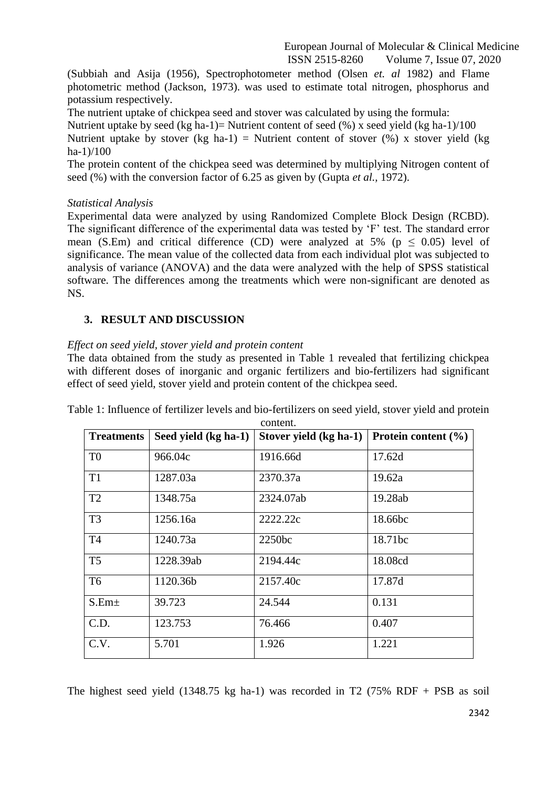(Subbiah and Asija (1956), Spectrophotometer method (Olsen *et. al* 1982) and Flame photometric method (Jackson, 1973). was used to estimate total nitrogen, phosphorus and potassium respectively.

The nutrient uptake of chickpea seed and stover was calculated by using the formula:

Nutrient uptake by seed (kg ha-1)= Nutrient content of seed (%) x seed yield (kg ha-1)/100 Nutrient uptake by stover (kg ha-1) = Nutrient content of stover  $(\%)$  x stover yield (kg ha-1)/100

The protein content of the chickpea seed was determined by multiplying Nitrogen content of seed (%) with the conversion factor of 6.25 as given by (Gupta *et al.,* 1972).

#### *Statistical Analysis*

Experimental data were analyzed by using Randomized Complete Block Design (RCBD). The significant difference of the experimental data was tested by 'F' test. The standard error mean (S.Em) and critical difference (CD) were analyzed at 5% ( $p \le 0.05$ ) level of significance. The mean value of the collected data from each individual plot was subjected to analysis of variance (ANOVA) and the data were analyzed with the help of SPSS statistical software. The differences among the treatments which were non-significant are denoted as NS.

# **3. RESULT AND DISCUSSION**

# *Effect on seed yield, stover yield and protein content*

The data obtained from the study as presented in Table 1 revealed that fertilizing chickpea with different doses of inorganic and organic fertilizers and bio-fertilizers had significant effect of seed yield, stover yield and protein content of the chickpea seed.

| <b>Treatments</b> | Seed yield (kg ha-1) | Stover yield (kg ha-1) | Protein content $(\% )$ |
|-------------------|----------------------|------------------------|-------------------------|
| T <sub>0</sub>    | 966.04c              | 1916.66d               | 17.62d                  |
| T <sub>1</sub>    | 1287.03a             | 2370.37a               | 19.62a                  |
| T <sub>2</sub>    | 1348.75a             | 2324.07ab              | 19.28ab                 |
| T <sub>3</sub>    | 1256.16a             | 2222.22c               | 18.66bc                 |
| T <sub>4</sub>    | 1240.73a             | 2250bc                 | 18.71bc                 |
| T <sub>5</sub>    | 1228.39ab            | 2194.44c               | 18.08cd                 |
| T <sub>6</sub>    | 1120.36b             | 2157.40c               | 17.87d                  |
| S.Em <sub>±</sub> | 39.723               | 24.544                 | 0.131                   |
| C.D.              | 123.753              | 76.466                 | 0.407                   |
| C.V.              | 5.701                | 1.926                  | 1.221                   |

Table 1: Influence of fertilizer levels and bio-fertilizers on seed yield, stover yield and protein content.

The highest seed yield  $(1348.75 \text{ kg} \text{ ha-1})$  was recorded in T2  $(75\% \text{ RDF} + \text{PSB} \text{ as soil})$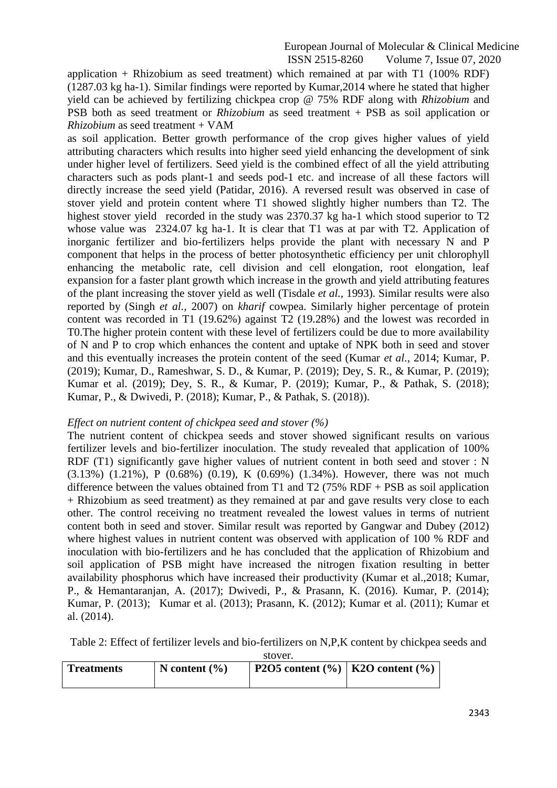application + Rhizobium as seed treatment) which remained at par with T1 (100% RDF) (1287.03 kg ha-1). Similar findings were reported by Kumar,2014 where he stated that higher yield can be achieved by fertilizing chickpea crop @ 75% RDF along with *Rhizobium* and PSB both as seed treatment or *Rhizobium* as seed treatment + PSB as soil application or *Rhizobium* as seed treatment + VAM

as soil application. Better growth performance of the crop gives higher values of yield attributing characters which results into higher seed yield enhancing the development of sink under higher level of fertilizers. Seed yield is the combined effect of all the yield attributing characters such as pods plant-1 and seeds pod-1 etc. and increase of all these factors will directly increase the seed yield (Patidar, 2016). A reversed result was observed in case of stover yield and protein content where T1 showed slightly higher numbers than T2. The highest stover yield recorded in the study was 2370.37 kg ha-1 which stood superior to T2 whose value was 2324.07 kg ha-1. It is clear that T1 was at par with T2. Application of inorganic fertilizer and bio-fertilizers helps provide the plant with necessary N and P component that helps in the process of better photosynthetic efficiency per unit chlorophyll enhancing the metabolic rate, cell division and cell elongation, root elongation, leaf expansion for a faster plant growth which increase in the growth and yield attributing features of the plant increasing the stover yield as well (Tisdale *et al.,* 1993). Similar results were also reported by (Singh *et al.,* 2007) on *kharif* cowpea. Similarly higher percentage of protein content was recorded in T1 (19.62%) against T2 (19.28%) and the lowest was recorded in T0.The higher protein content with these level of fertilizers could be due to more availability of N and P to crop which enhances the content and uptake of NPK both in seed and stover and this eventually increases the protein content of the seed (Kumar *et al.,* 2014; Kumar, P. (2019); Kumar, D., Rameshwar, S. D., & Kumar, P. (2019); Dey, S. R., & Kumar, P. (2019); Kumar et al. (2019); Dey, S. R., & Kumar, P. (2019); Kumar, P., & Pathak, S. (2018); Kumar, P., & Dwivedi, P. (2018); Kumar, P., & Pathak, S. (2018)).

#### *Effect on nutrient content of chickpea seed and stover (%)*

The nutrient content of chickpea seeds and stover showed significant results on various fertilizer levels and bio-fertilizer inoculation. The study revealed that application of 100% RDF (T1) significantly gave higher values of nutrient content in both seed and stover : N (3.13%) (1.21%), P (0.68%) (0.19), K (0.69%) (1.34%). However, there was not much difference between the values obtained from T1 and T2 (75% RDF + PSB as soil application + Rhizobium as seed treatment) as they remained at par and gave results very close to each other. The control receiving no treatment revealed the lowest values in terms of nutrient content both in seed and stover. Similar result was reported by Gangwar and Dubey (2012) where highest values in nutrient content was observed with application of 100 % RDF and inoculation with bio-fertilizers and he has concluded that the application of Rhizobium and soil application of PSB might have increased the nitrogen fixation resulting in better availability phosphorus which have increased their productivity (Kumar et al.,2018; Kumar, P., & Hemantaranjan, A. (2017); Dwivedi, P., & Prasann, K. (2016). Kumar, P. (2014); Kumar, P. (2013); Kumar et al. (2013); Prasann, K. (2012); Kumar et al. (2011); Kumar et al. (2014).

Table 2: Effect of fertilizer levels and bio-fertilizers on N,P,K content by chickpea seeds and

stover.

| <b>Treatments</b> | N content $(\% )$ | P2O5 content $\left(\frac{9}{6}\right)$   K2O content $\left(\frac{9}{6}\right)$ |  |
|-------------------|-------------------|----------------------------------------------------------------------------------|--|
|                   |                   |                                                                                  |  |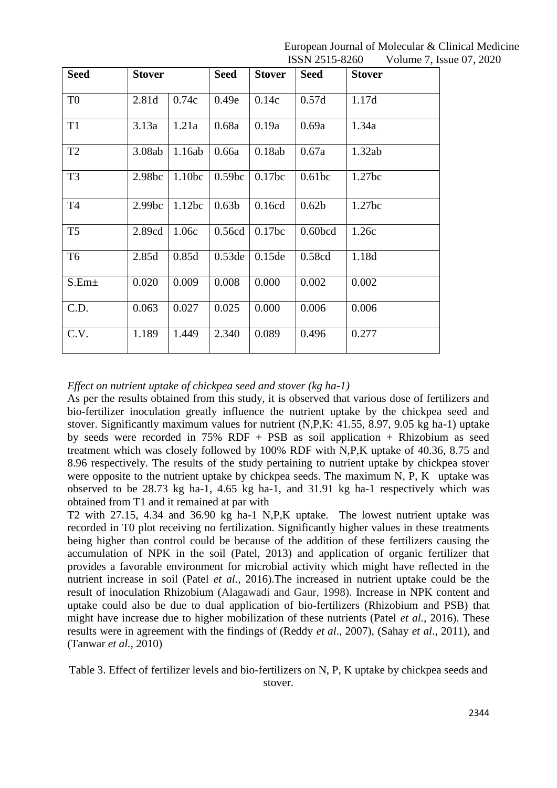| <b>Seed</b>       | <b>Stover</b>      |                    | <b>Seed</b>        | <b>Stover</b> | <b>Seed</b>         | <b>Stover</b> |
|-------------------|--------------------|--------------------|--------------------|---------------|---------------------|---------------|
| T <sub>0</sub>    | 2.81d              | 0.74c              | 0.49e              | 0.14c         | 0.57d               | 1.17d         |
| T <sub>1</sub>    | 3.13a              | 1.21a              | 0.68a              | 0.19a         | 0.69a               | 1.34a         |
| T <sub>2</sub>    | 3.08ab             | 1.16ab             | 0.66a              | 0.18ab        | 0.67a               | 1.32ab        |
| T <sub>3</sub>    | 2.98 <sub>bc</sub> | 1.10 <sub>bc</sub> | 0.59 <sub>bc</sub> | $0.17$ bc     | 0.61bc              | 1.27bc        |
| T <sub>4</sub>    | 2.99 <sub>bc</sub> | 1.12bc             | 0.63 <sub>b</sub>  | 0.16cd        | 0.62 <sub>b</sub>   | 1.27bc        |
| T <sub>5</sub>    | 2.89cd             | 1.06c              | 0.56cd             | 0.17bc        | 0.60 <sub>bcd</sub> | 1.26c         |
| T <sub>6</sub>    | 2.85d              | 0.85d              | $0.53$ de          | $0.15$ de     | 0.58cd              | 1.18d         |
| S.Em <sub>±</sub> | 0.020              | 0.009              | 0.008              | 0.000         | 0.002               | 0.002         |
| C.D.              | 0.063              | 0.027              | 0.025              | 0.000         | 0.006               | 0.006         |
| C.V.              | 1.189              | 1.449              | 2.340              | 0.089         | 0.496               | 0.277         |

*Effect on nutrient uptake of chickpea seed and stover (kg ha-1)* 

As per the results obtained from this study, it is observed that various dose of fertilizers and bio-fertilizer inoculation greatly influence the nutrient uptake by the chickpea seed and stover. Significantly maximum values for nutrient (N,P,K: 41.55, 8.97, 9.05 kg ha-1) uptake by seeds were recorded in 75% RDF + PSB as soil application + Rhizobium as seed treatment which was closely followed by 100% RDF with N,P,K uptake of 40.36, 8.75 and 8.96 respectively. The results of the study pertaining to nutrient uptake by chickpea stover were opposite to the nutrient uptake by chickpea seeds. The maximum N, P, K uptake was observed to be 28.73 kg ha-1, 4.65 kg ha-1, and 31.91 kg ha-1 respectively which was obtained from T1 and it remained at par with

T2 with 27.15, 4.34 and 36.90 kg ha-1 N,P,K uptake. The lowest nutrient uptake was recorded in T0 plot receiving no fertilization. Significantly higher values in these treatments being higher than control could be because of the addition of these fertilizers causing the accumulation of NPK in the soil (Patel, 2013) and application of organic fertilizer that provides a favorable environment for microbial activity which might have reflected in the nutrient increase in soil (Patel *et al.,* 2016).The increased in nutrient uptake could be the result of inoculation Rhizobium (Alagawadi and Gaur, 1998). Increase in NPK content and uptake could also be due to dual application of bio-fertilizers (Rhizobium and PSB) that might have increase due to higher mobilization of these nutrients (Patel *et al.,* 2016). These results were in agreement with the findings of (Reddy *et al*., 2007), (Sahay *et al*., 2011), and (Tanwar *et al.,* 2010)

Table 3. Effect of fertilizer levels and bio-fertilizers on N, P, K uptake by chickpea seeds and stover.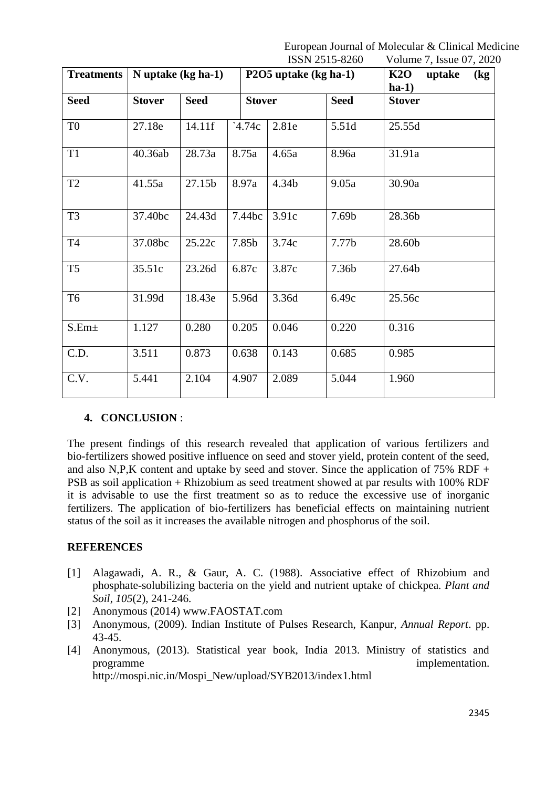| <b>Treatments</b> | N uptake (kg ha-1) |             | P2O5 uptake (kg ha-1) |       |             | K2O<br>uptake<br>$\left(\frac{\mathbf{k}}{2}\right)$<br>$ha-1$ |
|-------------------|--------------------|-------------|-----------------------|-------|-------------|----------------------------------------------------------------|
| <b>Seed</b>       | <b>Stover</b>      | <b>Seed</b> | <b>Stover</b>         |       | <b>Seed</b> | <b>Stover</b>                                                  |
| T <sub>0</sub>    | 27.18e             | 14.11f      | 4.74c                 | 2.81e | 5.51d       | 25.55d                                                         |
| <b>T1</b>         | 40.36ab            | 28.73a      | 8.75a                 | 4.65a | 8.96a       | 31.91a                                                         |
| T <sub>2</sub>    | 41.55a             | 27.15b      | 8.97a                 | 4.34b | 9.05a       | 30.90a                                                         |
| T <sub>3</sub>    | 37.40bc            | 24.43d      | 7.44bc                | 3.91c | 7.69b       | 28.36b                                                         |
| <b>T4</b>         | 37.08bc            | 25.22c      | 7.85b                 | 3.74c | 7.77b       | 28.60b                                                         |
| T <sub>5</sub>    | 35.51c             | 23.26d      | 6.87c                 | 3.87c | 7.36b       | 27.64b                                                         |
| T <sub>6</sub>    | 31.99d             | 18.43e      | 5.96d                 | 3.36d | 6.49c       | 25.56c                                                         |
| S.Em±             | 1.127              | 0.280       | 0.205                 | 0.046 | 0.220       | 0.316                                                          |
| C.D.              | 3.511              | 0.873       | 0.638                 | 0.143 | 0.685       | 0.985                                                          |
| C.V.              | 5.441              | 2.104       | 4.907                 | 2.089 | 5.044       | 1.960                                                          |

# **4. CONCLUSION** :

The present findings of this research revealed that application of various fertilizers and bio-fertilizers showed positive influence on seed and stover yield, protein content of the seed, and also N,P,K content and uptake by seed and stover. Since the application of  $75\%$  RDF + PSB as soil application + Rhizobium as seed treatment showed at par results with 100% RDF it is advisable to use the first treatment so as to reduce the excessive use of inorganic fertilizers. The application of bio-fertilizers has beneficial effects on maintaining nutrient status of the soil as it increases the available nitrogen and phosphorus of the soil.

# **REFERENCES**

- [1] Alagawadi, A. R., & Gaur, A. C. (1988). Associative effect of Rhizobium and phosphate-solubilizing bacteria on the yield and nutrient uptake of chickpea. *Plant and Soil*, *105*(2), 241-246.
- [2] Anonymous (2014) www.FAOSTAT.com
- [3] Anonymous, (2009). Indian Institute of Pulses Research, Kanpur, *Annual Report*. pp. 43-45.
- [4] Anonymous, (2013). Statistical year book, India 2013. Ministry of statistics and programme implementation. http://mospi.nic.in/Mospi\_New/upload/SYB2013/index1.html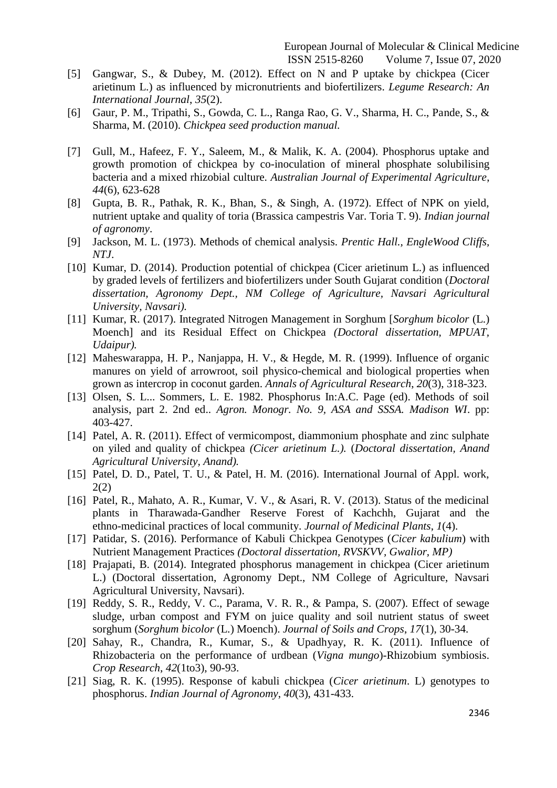- [5] Gangwar, S., & Dubey, M. (2012). Effect on N and P uptake by chickpea (Cicer arietinum L.) as influenced by micronutrients and biofertilizers. *Legume Research: An International Journal*, *35*(2).
- [6] Gaur, P. M., Tripathi, S., Gowda, C. L., Ranga Rao, G. V., Sharma, H. C., Pande, S., & Sharma, M. (2010). *Chickpea seed production manual.*
- [7] Gull, M., Hafeez, F. Y., Saleem, M., & Malik, K. A. (2004). Phosphorus uptake and growth promotion of chickpea by co-inoculation of mineral phosphate solubilising bacteria and a mixed rhizobial culture. *Australian Journal of Experimental Agriculture*, *44*(6), 623-628
- [8] Gupta, B. R., Pathak, R. K., Bhan, S., & Singh, A. (1972). Effect of NPK on yield, nutrient uptake and quality of toria (Brassica campestris Var. Toria T. 9). *Indian journal of agronomy*.
- [9] Jackson, M. L. (1973). Methods of chemical analysis. *Prentic Hall., EngleWood Cliffs, NTJ*.
- [10] Kumar, D. (2014). Production potential of chickpea (Cicer arietinum L.) as influenced by graded levels of fertilizers and biofertilizers under South Gujarat condition (*Doctoral dissertation, Agronomy Dept., NM College of Agriculture, Navsari Agricultural University, Navsari).*
- [11] Kumar, R. (2017). Integrated Nitrogen Management in Sorghum [*Sorghum bicolor* (L.) Moench] and its Residual Effect on Chickpea *(Doctoral dissertation, MPUAT, Udaipur).*
- [12] Maheswarappa, H. P., Nanjappa, H. V., & Hegde, M. R. (1999). Influence of organic manures on yield of arrowroot, soil physico-chemical and biological properties when grown as intercrop in coconut garden. *Annals of Agricultural Research*, *20*(3), 318-323.
- [13] Olsen, S. L... Sommers, L. E. 1982. Phosphorus In:A.C. Page (ed). Methods of soil analysis, part 2. 2nd ed.. *Agron. Monogr. No. 9, ASA and SSSA. Madison WI*. pp: 403-427.
- [14] Patel, A. R. (2011). Effect of vermicompost, diammonium phosphate and zinc sulphate on yiled and quality of chickpea *(Cicer arietinum L.).* (*Doctoral dissertation, Anand Agricultural University, Anand).*
- [15] Patel, D. D., Patel, T. U., & Patel, H. M. (2016). International Journal of Appl. work, 2(2)
- [16] Patel, R., Mahato, A. R., Kumar, V. V., & Asari, R. V. (2013). Status of the medicinal plants in Tharawada-Gandher Reserve Forest of Kachchh, Gujarat and the ethno-medicinal practices of local community. *Journal of Medicinal Plants*, *1*(4).
- [17] Patidar, S. (2016). Performance of Kabuli Chickpea Genotypes (*Cicer kabulium*) with Nutrient Management Practices *(Doctoral dissertation, RVSKVV, Gwalior, MP)*
- [18] Prajapati, B. (2014). Integrated phosphorus management in chickpea (Cicer arietinum L.) (Doctoral dissertation, Agronomy Dept., NM College of Agriculture, Navsari Agricultural University, Navsari).
- [19] Reddy, S. R., Reddy, V. C., Parama, V. R. R., & Pampa, S. (2007). Effect of sewage sludge, urban compost and FYM on juice quality and soil nutrient status of sweet sorghum (*Sorghum bicolor* (L.) Moench). *Journal of Soils and Crops*, *17*(1), 30-34.
- [20] Sahay, R., Chandra, R., Kumar, S., & Upadhyay, R. K. (2011). Influence of Rhizobacteria on the performance of urdbean (*Vigna mungo*)-Rhizobium symbiosis. *Crop Research*, *42*(1to3), 90-93.
- [21] Siag, R. K. (1995). Response of kabuli chickpea (*Cicer arietinum*. L) genotypes to phosphorus. *Indian Journal of Agronomy*, *40*(3), 431-433.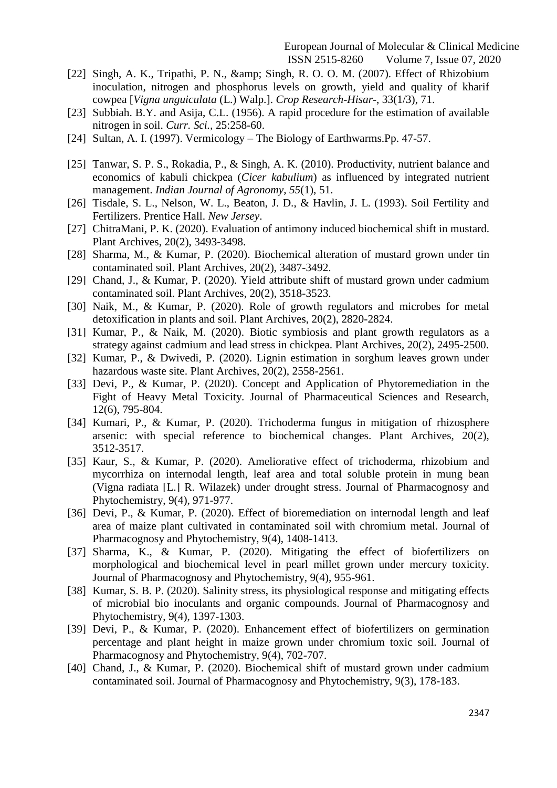- [22] Singh, A. K., Tripathi, P. N., & amp; Singh, R. O. O. M. (2007). Effect of Rhizobium inoculation, nitrogen and phosphorus levels on growth, yield and quality of kharif cowpea [*Vigna unguiculata* (L.) Walp.]. *Crop Research-Hisar*-, 33(1/3), 71.
- [23] Subbiah. B.Y. and Asija, C.L. (1956). A rapid procedure for the estimation of available nitrogen in soil. *Curr. Sci.,* 25:258-60.
- [24] Sultan, A. I. (1997). Vermicology The Biology of Earthwarms.Pp. 47-57.
- [25] Tanwar, S. P. S., Rokadia, P., & Singh, A. K. (2010). Productivity, nutrient balance and economics of kabuli chickpea (*Cicer kabulium*) as influenced by integrated nutrient management. *Indian Journal of Agronomy*, *55*(1), 51.
- [26] Tisdale, S. L., Nelson, W. L., Beaton, J. D., & Havlin, J. L. (1993). Soil Fertility and Fertilizers. Prentice Hall. *New Jersey*.
- [27] ChitraMani, P. K. (2020). Evaluation of antimony induced biochemical shift in mustard. Plant Archives, 20(2), 3493-3498.
- [28] Sharma, M., & Kumar, P. (2020). Biochemical alteration of mustard grown under tin contaminated soil. Plant Archives, 20(2), 3487-3492.
- [29] Chand, J., & Kumar, P. (2020). Yield attribute shift of mustard grown under cadmium contaminated soil. Plant Archives, 20(2), 3518-3523.
- [30] Naik, M., & Kumar, P. (2020). Role of growth regulators and microbes for metal detoxification in plants and soil. Plant Archives, 20(2), 2820-2824.
- [31] Kumar, P., & Naik, M. (2020). Biotic symbiosis and plant growth regulators as a strategy against cadmium and lead stress in chickpea. Plant Archives, 20(2), 2495-2500.
- [32] Kumar, P., & Dwivedi, P. (2020). Lignin estimation in sorghum leaves grown under hazardous waste site. Plant Archives, 20(2), 2558-2561.
- [33] Devi, P., & Kumar, P. (2020). Concept and Application of Phytoremediation in the Fight of Heavy Metal Toxicity. Journal of Pharmaceutical Sciences and Research, 12(6), 795-804.
- [34] Kumari, P., & Kumar, P. (2020). Trichoderma fungus in mitigation of rhizosphere arsenic: with special reference to biochemical changes. Plant Archives, 20(2), 3512-3517.
- [35] Kaur, S., & Kumar, P. (2020). Ameliorative effect of trichoderma, rhizobium and mycorrhiza on internodal length, leaf area and total soluble protein in mung bean (Vigna radiata [L.] R. Wilazek) under drought stress. Journal of Pharmacognosy and Phytochemistry, 9(4), 971-977.
- [36] Devi, P., & Kumar, P. (2020). Effect of bioremediation on internodal length and leaf area of maize plant cultivated in contaminated soil with chromium metal. Journal of Pharmacognosy and Phytochemistry, 9(4), 1408-1413.
- [37] Sharma, K., & Kumar, P. (2020). Mitigating the effect of biofertilizers on morphological and biochemical level in pearl millet grown under mercury toxicity. Journal of Pharmacognosy and Phytochemistry, 9(4), 955-961.
- [38] Kumar, S. B. P. (2020). Salinity stress, its physiological response and mitigating effects of microbial bio inoculants and organic compounds. Journal of Pharmacognosy and Phytochemistry, 9(4), 1397-1303.
- [39] Devi, P., & Kumar, P. (2020). Enhancement effect of biofertilizers on germination percentage and plant height in maize grown under chromium toxic soil. Journal of Pharmacognosy and Phytochemistry, 9(4), 702-707.
- [40] Chand, J., & Kumar, P. (2020). Biochemical shift of mustard grown under cadmium contaminated soil. Journal of Pharmacognosy and Phytochemistry, 9(3), 178-183.